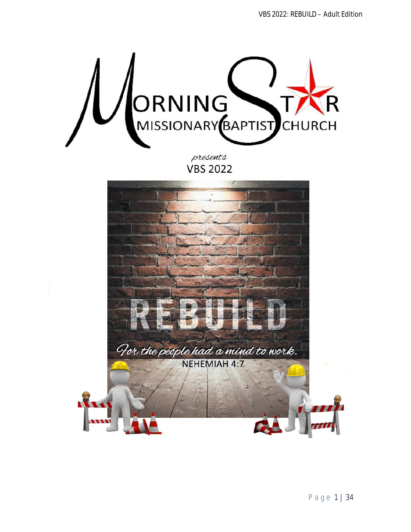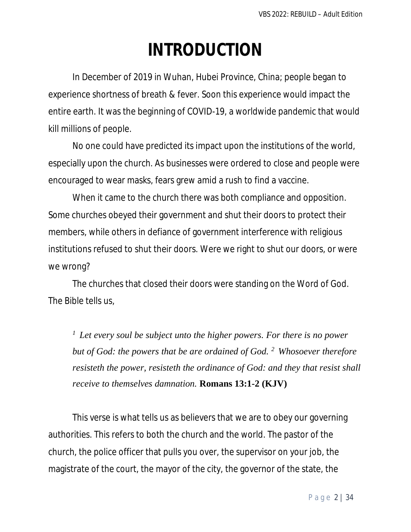# **INTRODUCTION**

In December of 2019 in Wuhan, Hubei Province, China; people began to experience shortness of breath & fever. Soon this experience would impact the entire earth. It was the beginning of COVID-19, a worldwide pandemic that would kill millions of people.

No one could have predicted its impact upon the institutions of the world, especially upon the church. As businesses were ordered to close and people were encouraged to wear masks, fears grew amid a rush to find a vaccine.

When it came to the church there was both compliance and opposition. Some churches obeyed their government and shut their doors to protect their members, while others in defiance of government interference with religious institutions refused to shut their doors. Were we right to shut our doors, or were we wrong?

The churches that closed their doors were standing on the Word of God. The Bible tells us,

*<sup>1</sup>Let every soul be subject unto the higher powers. For there is no power but of God: the powers that be are ordained of God. <sup>2</sup>Whosoever therefore resisteth the power, resisteth the ordinance of God: and they that resist shall receive to themselves damnation.* **Romans 13:1-2 (KJV)** 

This verse is what tells us as believers that we are to obey our governing authorities. This refers to both the church and the world. The pastor of the church, the police officer that pulls you over, the supervisor on your job, the magistrate of the court, the mayor of the city, the governor of the state, the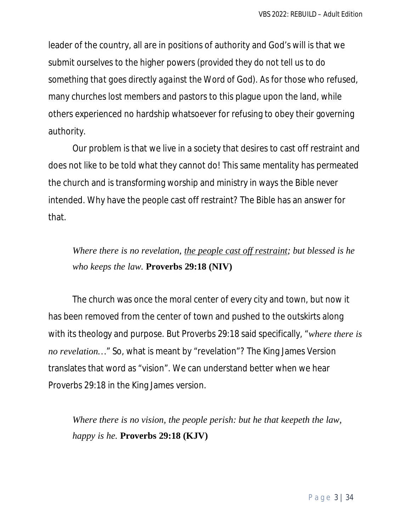leader of the country, all are in positions of authority and God's will is that we submit ourselves to the higher powers *(provided they do not tell us to do something that goes directly against the Word of God)*. As for those who refused, many churches lost members and pastors to this plague upon the land, while others experienced no hardship whatsoever for refusing to obey their governing authority.

Our problem is that we live in a society that desires to cast off restraint and does not like to be told what they cannot do! This same mentality has permeated the church and is transforming worship and ministry in ways the Bible never intended. Why have the people cast off restraint? The Bible has an answer for that.

*Where there is no revelation, the people cast off restraint; but blessed is he who keeps the law.* **Proverbs 29:18 (NIV)** 

The church was once the moral center of every city and town, but now it has been removed from the center of town and pushed to the outskirts along with its theology and purpose. But Proverbs 29:18 said specifically, "*where there is no revelation…*" So, what is meant by "revelation"? The King James Version translates that word as "vision". We can understand better when we hear Proverbs 29:18 in the King James version.

*Where there is no vision, the people perish: but he that keepeth the law, happy is he.* **Proverbs 29:18 (KJV)**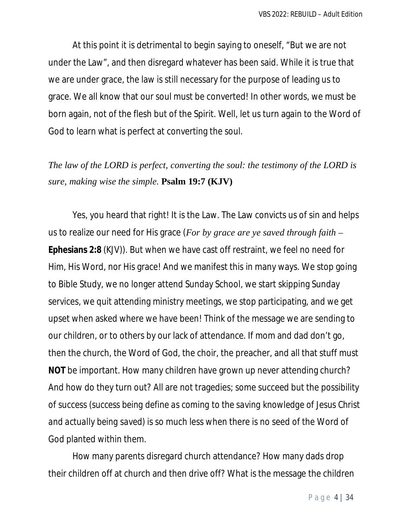At this point it is detrimental to begin saying to oneself, "But we are not under the Law", and then disregard whatever has been said. While it is true that we are under grace, the law is still necessary for the purpose of leading us to grace. We all know that our soul must be converted! In other words, we must be born again, not of the flesh but of the Spirit. Well, let us turn again to the Word of God to learn what is perfect at converting the soul.

*The law of the LORD is perfect, converting the soul: the testimony of the LORD is sure, making wise the simple.* **Psalm 19:7 (KJV)** 

Yes, you heard that right! It is the Law. The Law convicts us of sin and helps us to realize our need for His grace (*For by grace are ye saved through faith –* **Ephesians 2:8** (KJV)). But when we have cast off restraint, we feel no need for Him, His Word, nor His grace! And we manifest this in many ways. We stop going to Bible Study, we no longer attend Sunday School, we start skipping Sunday services, we quit attending ministry meetings, we stop participating, and we get upset when asked where we have been! Think of the message we are sending to our children, or to others by our lack of attendance. If mom and dad don't go, then the church, the Word of God, the choir, the preacher, and all that stuff must **NOT** be important. How many children have grown up never attending church? And how do they turn out? All are not tragedies; some succeed but the possibility of success *(success being define as coming to the saving knowledge of Jesus Christ and actually being saved)* is so much less when there is no seed of the Word of God planted within them.

How many parents disregard church attendance? How many dads drop their children off at church and then drive off? What is the message the children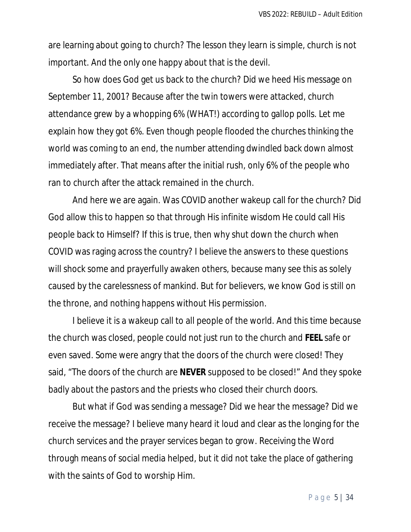are learning about going to church? The lesson they learn is simple, church is not important. And the only one happy about that is the devil.

So how does God get us back to the church? Did we heed His message on September 11, 2001? Because after the twin towers were attacked, church attendance grew by a whopping 6% (WHAT!) according to gallop polls. Let me explain how they got 6%. Even though people flooded the churches thinking the world was coming to an end, the number attending dwindled back down almost immediately after. That means after the initial rush, only 6% of the people who ran to church after the attack remained in the church.

And here we are again. Was COVID another wakeup call for the church? Did God allow this to happen so that through His infinite wisdom He could call His people back to Himself? If this is true, then why shut down the church when COVID was raging across the country? I believe the answers to these questions will shock some and prayerfully awaken others, because many see this as solely caused by the carelessness of mankind. But for believers, we know God is still on the throne, and nothing happens without His permission.

I believe it is a wakeup call to all people of the world. And this time because the church was closed, people could not just run to the church and **FEEL** safe or even saved. Some were angry that the doors of the church were closed! They said, "The doors of the church are **NEVER** supposed to be closed!" And they spoke badly about the pastors and the priests who closed their church doors.

But what if God was sending a message? Did we hear the message? Did we receive the message? I believe many heard it loud and clear as the longing for the church services and the prayer services began to grow. Receiving the Word through means of social media helped, but it did not take the place of gathering with the saints of God to worship Him.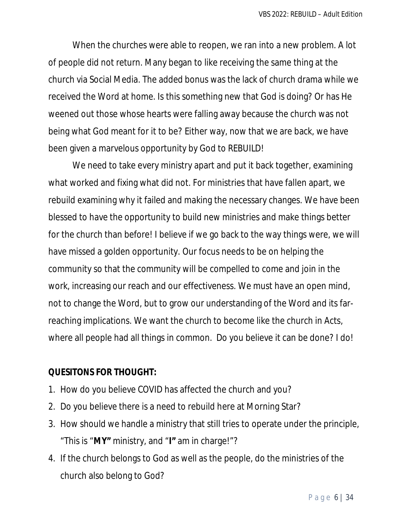When the churches were able to reopen, we ran into a new problem. A lot of people did not return. Many began to like receiving the same thing at the church via Social Media. The added bonus was the lack of church drama while we received the Word at home. Is this something new that God is doing? Or has He weened out those whose hearts were falling away because the church was not being what God meant for it to be? Either way, now that we are back, we have been given a marvelous opportunity by God to REBUILD!

We need to take every ministry apart and put it back together, examining what worked and fixing what did not. For ministries that have fallen apart, we rebuild examining why it failed and making the necessary changes. We have been blessed to have the opportunity to build new ministries and make things better for the church than before! I believe if we go back to the way things were, we will have missed a golden opportunity. Our focus needs to be on helping the community so that the community will be compelled to come and join in the work, increasing our reach and our effectiveness. We must have an open mind, not to change the Word, but to grow our understanding of the Word and its farreaching implications. We want the church to become like the church in Acts, where all people had all things in common. Do you believe it can be done? I do!

### **QUESITONS FOR THOUGHT:**

- 1. How do you believe COVID has affected the church and you?
- 2. Do you believe there is a need to rebuild here at Morning Star?
- 3. How should we handle a ministry that still tries to operate under the principle, "This is "**MY"** ministry, and "**I"** am in charge!"?
- 4. If the church belongs to God as well as the people, do the ministries of the church also belong to God?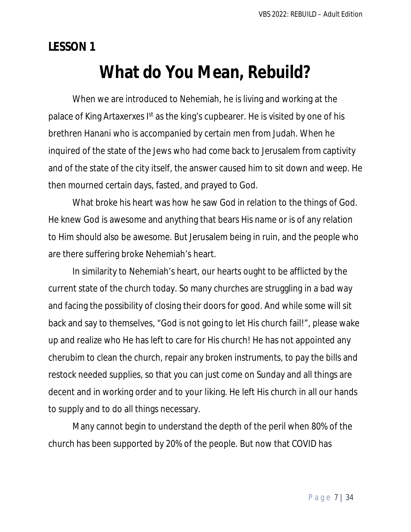**LESSON 1**

## **What do You Mean, Rebuild?**

When we are introduced to Nehemiah, he is living and working at the palace of King Artaxerxes I<sup>st</sup> as the king's cupbearer. He is visited by one of his brethren Hanani who is accompanied by certain men from Judah. When he inquired of the state of the Jews who had come back to Jerusalem from captivity and of the state of the city itself, the answer caused him to sit down and weep. He then mourned certain days, fasted, and prayed to God.

What broke his heart was how he saw God in relation to the things of God. He knew God is awesome and anything that bears His name or is of any relation to Him should also be awesome. But Jerusalem being in ruin, and the people who are there suffering broke Nehemiah's heart.

In similarity to Nehemiah's heart, our hearts ought to be afflicted by the current state of the church today. So many churches are struggling in a bad way and facing the possibility of closing their doors for good. And while some will sit back and say to themselves, "God is not going to let His church fail!", please wake up and realize who He has left to care for His church! He has not appointed any cherubim to clean the church, repair any broken instruments, to pay the bills and restock needed supplies, so that you can just come on Sunday and all things are decent and in working order and to your liking. He left His church in all our hands to supply and to do all things necessary.

Many cannot begin to understand the depth of the peril when 80% of the church has been supported by 20% of the people. But now that COVID has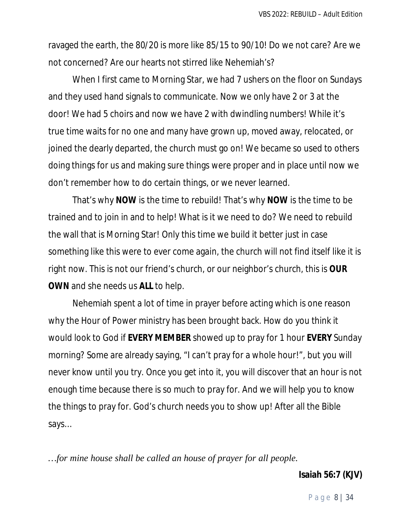ravaged the earth, the 80/20 is more like 85/15 to 90/10! Do we not care? Are we not concerned? Are our hearts not stirred like Nehemiah's?

When I first came to Morning Star, we had 7 ushers on the floor on Sundays and they used hand signals to communicate. Now we only have 2 or 3 at the door! We had 5 choirs and now we have 2 with dwindling numbers! While it's true time waits for no one and many have grown up, moved away, relocated, or joined the dearly departed, the church must go on! We became so used to others doing things for us and making sure things were proper and in place until now we don't remember how to do certain things, or we never learned.

That's why **NOW** is the time to rebuild! That's why **NOW** is the time to be trained and to join in and to help! What is it we need to do? We need to rebuild the wall that is Morning Star! Only this time we build it better just in case something like this were to ever come again, the church will not find itself like it is right now. This is not our friend's church, or our neighbor's church, this is **OUR OWN** and she needs us **ALL** to help.

Nehemiah spent a lot of time in prayer before acting which is one reason why the Hour of Power ministry has been brought back. How do you think it would look to God if **EVERY MEMBER** showed up to pray for 1 hour **EVERY** Sunday morning? Some are already saying, "I can't pray for a whole hour!", but you will never know until you try. Once you get into it, you will discover that an hour is not enough time because there is so much to pray for. And we will help you to know the things to pray for. God's church needs you to show up! After all the Bible says…

*…for mine house shall be called an house of prayer for all people.*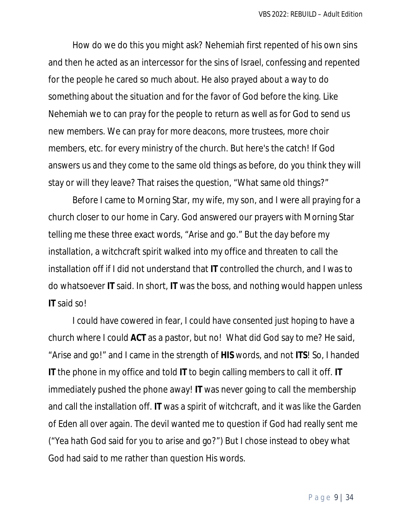How do we do this you might ask? Nehemiah first repented of his own sins and then he acted as an intercessor for the sins of Israel, confessing and repented for the people he cared so much about. He also prayed about a way to do something about the situation and for the favor of God before the king. Like Nehemiah we to can pray for the people to return as well as for God to send us new members. We can pray for more deacons, more trustees, more choir members, etc. for every ministry of the church. But here's the catch! If God answers us and they come to the same old things as before, do you think they will stay or will they leave? That raises the question, "What same old things?"

Before I came to Morning Star, my wife, my son, and I were all praying for a church closer to our home in Cary. God answered our prayers with Morning Star telling me these three exact words, "Arise and go." But the day before my installation, a witchcraft spirit walked into my office and threaten to call the installation off if I did not understand that **IT** controlled the church, and I was to do whatsoever **IT** said. In short, **IT** was the boss, and nothing would happen unless **IT** said so!

I could have cowered in fear, I could have consented just hoping to have a church where I could **ACT** as a pastor, but no! What did God say to me? He said, "Arise and go!" and I came in the strength of **HIS** words, and not **ITS**! So, I handed **IT** the phone in my office and told **IT** to begin calling members to call it off. **IT** immediately pushed the phone away! **IT** was never going to call the membership and call the installation off. **IT** was a spirit of witchcraft, and it was like the Garden of Eden all over again. The devil wanted me to question if God had really sent me ("Yea hath God said for you to arise and go?") But I chose instead to obey what God had said to me rather than question His words.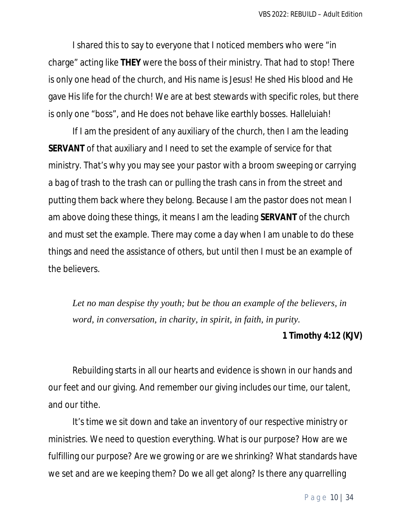I shared this to say to everyone that I noticed members who were "in charge" acting like **THEY** were the boss of their ministry. That had to stop! There is only one head of the church, and His name is Jesus! He shed His blood and He gave His life for the church! We are at best stewards with specific roles, but there is only one "boss", and He does not behave like earthly bosses. Halleluiah!

If I am the president of any auxiliary of the church, then I am the leading **SERVANT** of that auxiliary and I need to set the example of service for that ministry. That's why you may see your pastor with a broom sweeping or carrying a bag of trash to the trash can or pulling the trash cans in from the street and putting them back where they belong. Because I am the pastor does not mean I am above doing these things, it means I am the leading **SERVANT** of the church and must set the example. There may come a day when I am unable to do these things and need the assistance of others, but until then I must be an example of the believers.

*Let no man despise thy youth; but be thou an example of the believers, in word, in conversation, in charity, in spirit, in faith, in purity.*

#### **1 Timothy 4:12 (KJV)**

Rebuilding starts in all our hearts and evidence is shown in our hands and our feet and our giving. And remember our giving includes our time, our talent, and our tithe.

It's time we sit down and take an inventory of our respective ministry or ministries. We need to question everything. What is our purpose? How are we fulfilling our purpose? Are we growing or are we shrinking? What standards have we set and are we keeping them? Do we all get along? Is there any quarrelling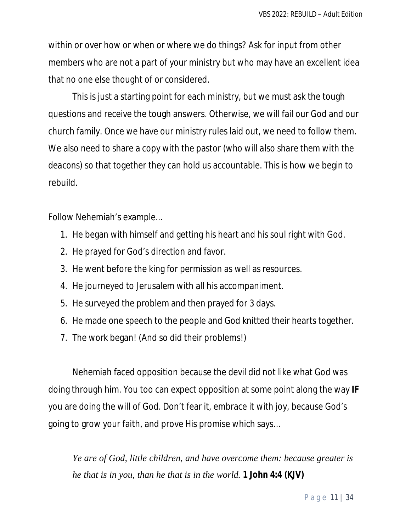within or over how or when or where we do things? Ask for input from other members who are not a part of your ministry but who may have an excellent idea that no one else thought of or considered.

This is just a starting point for each ministry, but we must ask the tough questions and receive the tough answers. Otherwise, we will fail our God and our church family. Once we have our ministry rules laid out, we need to follow them. We also need to share a copy with the pastor *(who will also share them with the deacons)* so that together they can hold us accountable. This is how we begin to rebuild.

Follow Nehemiah's example...

- 1. He began with himself and getting his heart and his soul right with God.
- 2. He prayed for God's direction and favor.
- 3. He went before the king for permission as well as resources.
- 4. He journeyed to Jerusalem with all his accompaniment.
- 5. He surveyed the problem and then prayed for 3 days.
- 6. He made one speech to the people and God knitted their hearts together.
- 7. The work began! (And so did their problems!)

Nehemiah faced opposition because the devil did not like what God was doing through him. You too can expect opposition at some point along the way **IF** you are doing the will of God. Don't fear it, embrace it with joy, because God's going to grow your faith, and prove His promise which says…

*Ye are of God, little children, and have overcome them: because greater is he that is in you, than he that is in the world.* **1 John 4:4 (KJV)**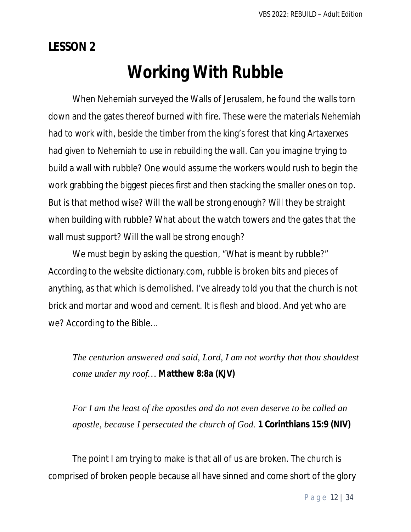**LESSON 2**

# **Working With Rubble**

When Nehemiah surveyed the Walls of Jerusalem, he found the walls torn down and the gates thereof burned with fire. These were the materials Nehemiah had to work with, beside the timber from the king's forest that king Artaxerxes had given to Nehemiah to use in rebuilding the wall. Can you imagine trying to build a wall with rubble? One would assume the workers would rush to begin the work grabbing the biggest pieces first and then stacking the smaller ones on top. But is that method wise? Will the wall be strong enough? Will they be straight when building with rubble? What about the watch towers and the gates that the wall must support? Will the wall be strong enough?

We must begin by asking the question, "What is meant by rubble?" According to the website dictionary.com, rubble is broken bits and pieces of anything, as that which is demolished. I've already told you that the church is not brick and mortar and wood and cement. It is flesh and blood. And yet who are we? According to the Bible…

*The centurion answered and said, Lord, I am not worthy that thou shouldest come under my roof…* **Matthew 8:8a (KJV)**

*For I am the least of the apostles and do not even deserve to be called an apostle, because I persecuted the church of God.* **1 Corinthians 15:9 (NIV)**

The point I am trying to make is that all of us are broken. The church is comprised of broken people because all have sinned and come short of the glory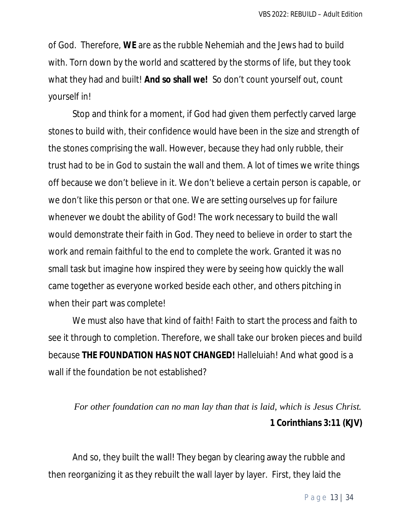of God. Therefore, **WE** are as the rubble Nehemiah and the Jews had to build with. Torn down by the world and scattered by the storms of life, but they took what they had and built! **And so shall we!** So don't count yourself out, count yourself in!

Stop and think for a moment, if God had given them perfectly carved large stones to build with, their confidence would have been in the size and strength of the stones comprising the wall. However, because they had only rubble, their trust had to be in God to sustain the wall and them. A lot of times we write things off because we don't believe in it. We don't believe a certain person is capable, or we don't like this person or that one. We are setting ourselves up for failure whenever we doubt the ability of God! The work necessary to build the wall would demonstrate their faith in God. They need to believe in order to start the work and remain faithful to the end to complete the work. Granted it was no small task but imagine how inspired they were by seeing how quickly the wall came together as everyone worked beside each other, and others pitching in when their part was complete!

We must also have that kind of faith! Faith to start the process and faith to see it through to completion. Therefore, we shall take our broken pieces and build because **THE FOUNDATION HAS NOT CHANGED!** Halleluiah! And what good is a wall if the foundation be not established?

*For other foundation can no man lay than that is laid, which is Jesus Christ.*  **1 Corinthians 3:11 (KJV)**

And so, they built the wall! They began by clearing away the rubble and then reorganizing it as they rebuilt the wall layer by layer. First, they laid the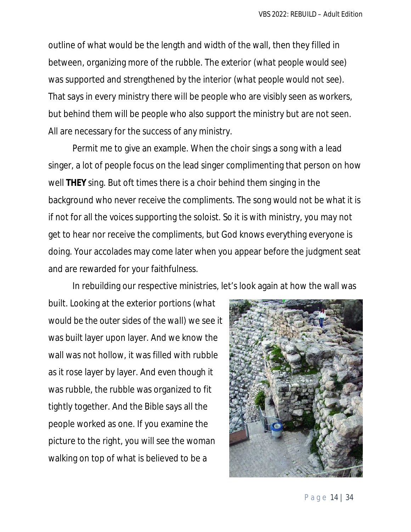outline of what would be the length and width of the wall, then they filled in between, organizing more of the rubble. The exterior *(what people would see)* was supported and strengthened by the interior *(what people would not see)*. That says in every ministry there will be people who are visibly seen as workers, but behind them will be people who also support the ministry but are not seen. All are necessary for the success of any ministry.

Permit me to give an example. When the choir sings a song with a lead singer, a lot of people focus on the lead singer complimenting that person on how well **THEY** sing. But oft times there is a choir behind them singing in the background who never receive the compliments. The song would not be what it is if not for all the voices supporting the soloist. So it is with ministry, you may not get to hear nor receive the compliments, but God knows everything everyone is doing. Your accolades may come later when you appear before the judgment seat and are rewarded for your faithfulness.

In rebuilding our respective ministries, let's look again at how the wall was

built. Looking at the exterior portions *(what would be the outer sides of the wall)* we see it was built layer upon layer. And we know the wall was not hollow, it was filled with rubble as it rose layer by layer. And even though it was rubble, the rubble was organized to fit tightly together. And the Bible says all the people worked as one. If you examine the picture to the right, you will see the woman walking on top of what is believed to be a

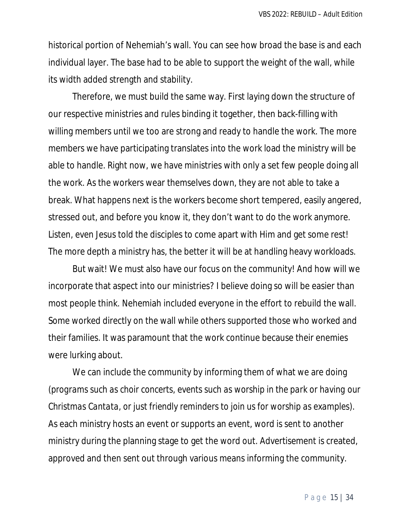historical portion of Nehemiah's wall. You can see how broad the base is and each individual layer. The base had to be able to support the weight of the wall, while its width added strength and stability.

Therefore, we must build the same way. First laying down the structure of our respective ministries and rules binding it together, then back-filling with willing members until we too are strong and ready to handle the work. The more members we have participating translates into the work load the ministry will be able to handle. Right now, we have ministries with only a set few people doing all the work. As the workers wear themselves down, they are not able to take a break. What happens next is the workers become short tempered, easily angered, stressed out, and before you know it, they don't want to do the work anymore. Listen, even Jesus told the disciples to come apart with Him and get some rest! The more depth a ministry has, the better it will be at handling heavy workloads.

But wait! We must also have our focus on the community! And how will we incorporate that aspect into our ministries? I believe doing so will be easier than most people think. Nehemiah included everyone in the effort to rebuild the wall. Some worked directly on the wall while others supported those who worked and their families. It was paramount that the work continue because their enemies were lurking about.

We can include the community by informing them of what we are doing *(programs such as choir concerts, events such as worship in the park or having our Christmas Cantata, or just friendly reminders to join us for worship as examples)*. As each ministry hosts an event or supports an event, word is sent to another ministry during the planning stage to get the word out. Advertisement is created, approved and then sent out through various means informing the community.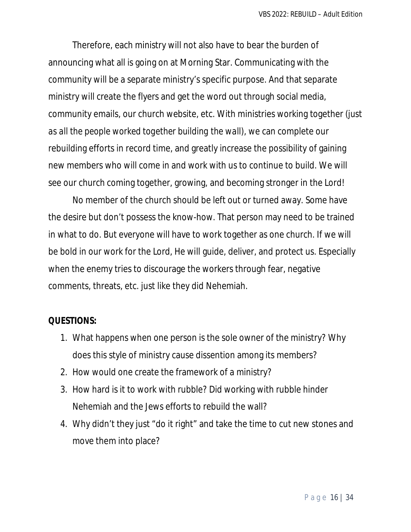Therefore, each ministry will not also have to bear the burden of announcing what all is going on at Morning Star. Communicating with the community will be a separate ministry's specific purpose. And that separate ministry will create the flyers and get the word out through social media, community emails, our church website, etc. With ministries working together *(just as all the people worked together building the wall)*, we can complete our rebuilding efforts in record time, and greatly increase the possibility of gaining new members who will come in and work with us to continue to build. We will see our church coming together, growing, and becoming stronger in the Lord!

No member of the church should be left out or turned away. Some have the desire but don't possess the know-how. That person may need to be trained in what to do. But everyone will have to work together as one church. If we will be bold in our work for the Lord, He will guide, deliver, and protect us. Especially when the enemy tries to discourage the workers through fear, negative comments, threats, etc. just like they did Nehemiah.

### **QUESTIONS:**

- 1. What happens when one person is the sole owner of the ministry? Why does this style of ministry cause dissention among its members?
- 2. How would one create the framework of a ministry?
- 3. How hard is it to work with rubble? Did working with rubble hinder Nehemiah and the Jews efforts to rebuild the wall?
- 4. Why didn't they just "do it right" and take the time to cut new stones and move them into place?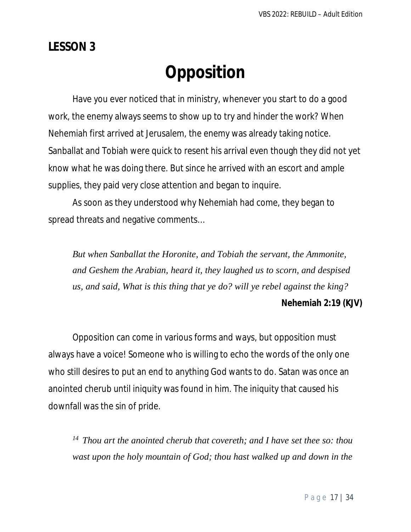## **LESSON 3**

# **Opposition**

Have you ever noticed that in ministry, whenever you start to do a good work, the enemy always seems to show up to try and hinder the work? When Nehemiah first arrived at Jerusalem, the enemy was already taking notice. Sanballat and Tobiah were quick to resent his arrival even though they did not yet know what he was doing there. But since he arrived with an escort and ample supplies, they paid very close attention and began to inquire.

As soon as they understood why Nehemiah had come, they began to spread threats and negative comments…

*But when Sanballat the Horonite, and Tobiah the servant, the Ammonite, and Geshem the Arabian, heard it, they laughed us to scorn, and despised us, and said, What is this thing that ye do? will ye rebel against the king?*

### **Nehemiah 2:19 (KJV)**

Opposition can come in various forms and ways, but opposition must always have a voice! Someone who is willing to echo the words of the only one who still desires to put an end to anything God wants to do. Satan was once an anointed cherub until iniquity was found in him. The iniquity that caused his downfall was the sin of pride.

*<sup>14</sup>Thou art the anointed cherub that covereth; and I have set thee so: thou wast upon the holy mountain of God; thou hast walked up and down in the*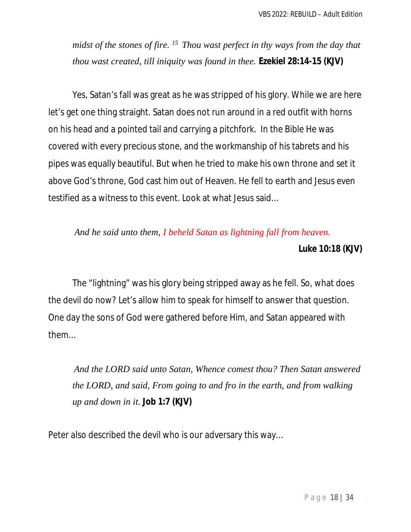*midst of the stones of fire. <sup>15</sup>Thou wast perfect in thy ways from the day that thou wast created, till iniquity was found in thee.* **Ezekiel 28:14-15 (KJV)**

Yes, Satan's fall was great as he was stripped of his glory. While we are here let's get one thing straight. Satan does not run around in a red outfit with horns on his head and a pointed tail and carrying a pitchfork. In the Bible He was covered with every precious stone, and the workmanship of his tabrets and his pipes was equally beautiful. But when he tried to make his own throne and set it above God's throne, God cast him out of Heaven. He fell to earth and Jesus even testified as a witness to this event. Look at what Jesus said…

## *And he said unto them, I beheld Satan as lightning fall from heaven.*

**Luke 10:18 (KJV)**

The "lightning" was his glory being stripped away as he fell. So, what does the devil do now? Let's allow him to speak for himself to answer that question. One day the sons of God were gathered before Him, and Satan appeared with them…

*And the LORD said unto Satan, Whence comest thou? Then Satan answered the LORD, and said, From going to and fro in the earth, and from walking up and down in it.* **Job 1:7 (KJV)**

Peter also described the devil who is our adversary this way…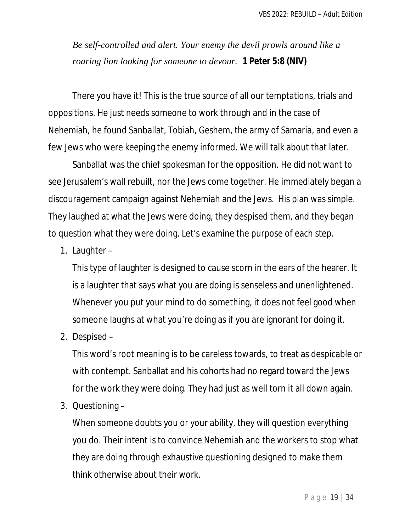*Be self-controlled and alert. Your enemy the devil prowls around like a roaring lion looking for someone to devour.* **1 Peter 5:8 (NIV)**

There you have it! This is the true source of all our temptations, trials and oppositions. He just needs someone to work through and in the case of Nehemiah, he found Sanballat, Tobiah, Geshem, the army of Samaria, and even a few Jews who were keeping the enemy informed. We will talk about that later.

Sanballat was the chief spokesman for the opposition. He did not want to see Jerusalem's wall rebuilt, nor the Jews come together. He immediately began a discouragement campaign against Nehemiah and the Jews. His plan was simple. They laughed at what the Jews were doing, they despised them, and they began to question what they were doing. Let's examine the purpose of each step.

1. Laughter –

This type of laughter is designed to cause scorn in the ears of the hearer. It is a laughter that says what you are doing is senseless and unenlightened. Whenever you put your mind to do something, it does not feel good when someone laughs at what you're doing as if you are ignorant for doing it.

2. Despised –

This word's root meaning is to be careless towards, to treat as despicable or with contempt. Sanballat and his cohorts had no regard toward the Jews for the work they were doing. They had just as well torn it all down again.

3. Questioning –

When someone doubts you or your ability, they will question everything you do. Their intent is to convince Nehemiah and the workers to stop what they are doing through exhaustive questioning designed to make them think otherwise about their work.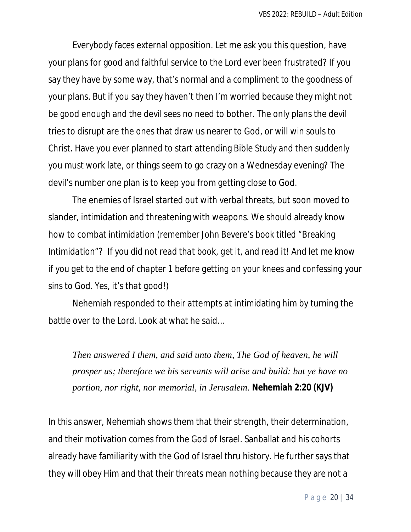Everybody faces external opposition. Let me ask you this question, have your plans for good and faithful service to the Lord ever been frustrated? If you say they have by some way, that's normal and a compliment to the goodness of your plans. But if you say they haven't then I'm worried because they might not be good enough and the devil sees no need to bother. The only plans the devil tries to disrupt are the ones that draw us nearer to God, or will win souls to Christ. Have you ever planned to start attending Bible Study and then suddenly you must work late, or things seem to go crazy on a Wednesday evening? The devil's number one plan is to keep you from getting close to God.

The enemies of Israel started out with verbal threats, but soon moved to slander, intimidation and threatening with weapons. We should already know how to combat intimidation *(remember John Bevere's book titled "Breaking Intimidation"? If you did not read that book, get it, and read it! And let me know if you get to the end of chapter 1 before getting on your knees and confessing your sins to God. Yes, it's that good!)* 

Nehemiah responded to their attempts at intimidating him by turning the battle over to the Lord. Look at what he said…

*Then answered I them, and said unto them, The God of heaven, he will prosper us; therefore we his servants will arise and build: but ye have no portion, nor right, nor memorial, in Jerusalem.* **Nehemiah 2:20 (KJV)**

In this answer, Nehemiah shows them that their strength, their determination, and their motivation comes from the God of Israel. Sanballat and his cohorts already have familiarity with the God of Israel thru history. He further says that they will obey Him and that their threats mean nothing because they are not a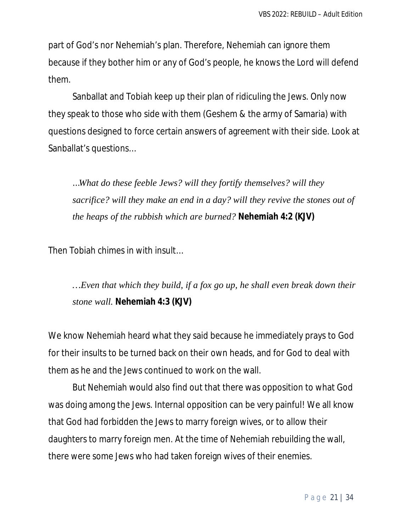part of God's nor Nehemiah's plan. Therefore, Nehemiah can ignore them because if they bother him or any of God's people, he knows the Lord will defend them.

Sanballat and Tobiah keep up their plan of ridiculing the Jews. Only now they speak to those who side with them (Geshem & the army of Samaria) with questions designed to force certain answers of agreement with their side. Look at Sanballat's questions…

…*What do these feeble Jews? will they fortify themselves? will they sacrifice? will they make an end in a day? will they revive the stones out of the heaps of the rubbish which are burned?* **Nehemiah 4:2 (KJV)** 

Then Tobiah chimes in with insult…

*…Even that which they build, if a fox go up, he shall even break down their stone wall.* **Nehemiah 4:3 (KJV)**

We know Nehemiah heard what they said because he immediately prays to God for their insults to be turned back on their own heads, and for God to deal with them as he and the Jews continued to work on the wall.

But Nehemiah would also find out that there was opposition to what God was doing among the Jews. Internal opposition can be very painful! We all know that God had forbidden the Jews to marry foreign wives, or to allow their daughters to marry foreign men. At the time of Nehemiah rebuilding the wall, there were some Jews who had taken foreign wives of their enemies.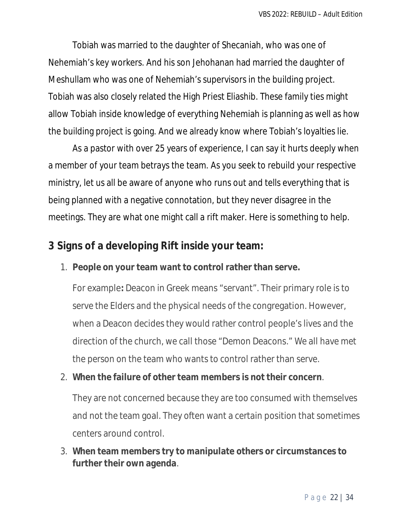Tobiah was married to the daughter of Shecaniah, who was one of Nehemiah's key workers. And his son Jehohanan had married the daughter of Meshullam who was one of Nehemiah's supervisors in the building project. Tobiah was also closely related the High Priest Eliashib. These family ties might allow Tobiah inside knowledge of everything Nehemiah is planning as well as how the building project is going. And we already know where Tobiah's loyalties lie.

As a pastor with over 25 years of experience, I can say it hurts deeply when a member of your team betrays the team. As you seek to rebuild your respective ministry, let us all be aware of anyone who runs out and tells everything that is being planned with a negative connotation, but they never disagree in the meetings. They are what one might call a rift maker. Here is something to help.

## **3 Signs of a developing Rift inside your team:**

### 1. **People on your team want to control rather than serve.**

For example**:** Deacon in Greek means "servant". Their primary role is to serve the Elders and the physical needs of the congregation. However, when a Deacon decides they would rather control people's lives and the direction of the church, we call those "Demon Deacons." We all have met the person on the team who wants to control rather than serve.

### 2. **When the failure of other team members is not their concern**.

They are not concerned because they are too consumed with themselves and not the team goal. They often want a certain position that sometimes centers around control.

## 3. **When team members try to manipulate others or circumstances to further their own agenda**.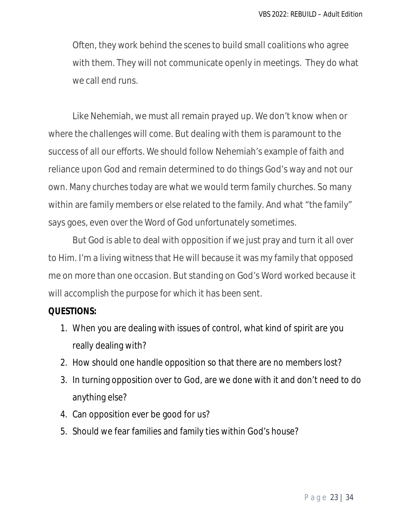Often, they work behind the scenes to build small coalitions who agree with them. They will not communicate openly in meetings. They do what we call end runs.

Like Nehemiah, we must all remain prayed up. We don't know when or where the challenges will come. But dealing with them is paramount to the success of all our efforts. We should follow Nehemiah's example of faith and reliance upon God and remain determined to do things God's way and not our own. Many churches today are what we would term family churches. So many within are family members or else related to the family. And what "the family" says goes, even over the Word of God unfortunately sometimes.

But God is able to deal with opposition if we just pray and turn it all over to Him. I'm a living witness that He will because it was my family that opposed me on more than one occasion. But standing on God's Word worked because it will accomplish the purpose for which it has been sent.

### **QUESTIONS:**

- 1. When you are dealing with issues of control, what kind of spirit are you really dealing with?
- 2. How should one handle opposition so that there are no members lost?
- 3. In turning opposition over to God, are we done with it and don't need to do anything else?
- 4. Can opposition ever be good for us?
- 5. Should we fear families and family ties within God's house?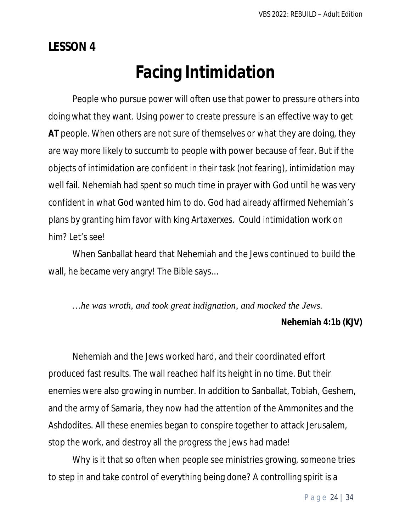**LESSON 4**

# **Facing Intimidation**

People who pursue power will often use that power to pressure others into doing what they want. Using power to create pressure is an effective way to get **AT** people. When others are not sure of themselves or what they are doing, they are way more likely to succumb to people with power because of fear. But if the objects of intimidation are confident in their task *(not fearing)*, intimidation may well fail. Nehemiah had spent so much time in prayer with God until he was very confident in what God wanted him to do. God had already affirmed Nehemiah's plans by granting him favor with king Artaxerxes. Could intimidation work on him? Let's see!

When Sanballat heard that Nehemiah and the Jews continued to build the wall, he became very angry! The Bible says…

*…he was wroth, and took great indignation, and mocked the Jews.*

### **Nehemiah 4:1b (KJV)**

Nehemiah and the Jews worked hard, and their coordinated effort produced fast results. The wall reached half its height in no time. But their enemies were also growing in number. In addition to Sanballat, Tobiah, Geshem, and the army of Samaria, they now had the attention of the Ammonites and the Ashdodites. All these enemies began to conspire together to attack Jerusalem, stop the work, and destroy all the progress the Jews had made!

Why is it that so often when people see ministries growing, someone tries to step in and take control of everything being done? A controlling spirit is a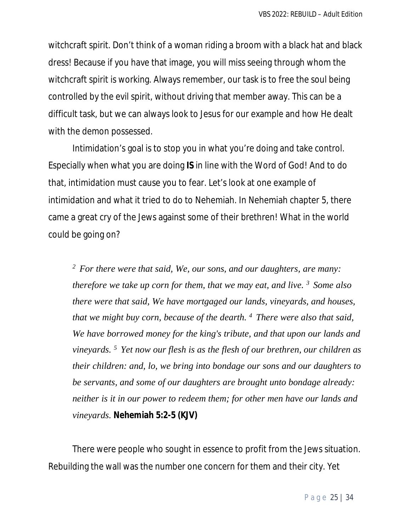witchcraft spirit. Don't think of a woman riding a broom with a black hat and black dress! Because if you have that image, you will miss seeing through whom the witchcraft spirit is working. Always remember, our task is to free the soul being controlled by the evil spirit, without driving that member away. This can be a difficult task, but we can always look to Jesus for our example and how He dealt with the demon possessed.

Intimidation's goal is to stop you in what you're doing and take control. Especially when what you are doing **IS** in line with the Word of God! And to do that, intimidation must cause you to fear. Let's look at one example of intimidation and what it tried to do to Nehemiah. In Nehemiah chapter 5, there came a great cry of the Jews against some of their brethren! What in the world could be going on?

*<sup>2</sup>For there were that said, We, our sons, and our daughters, are many: therefore we take up corn for them, that we may eat, and live. <sup>3</sup>Some also there were that said, We have mortgaged our lands, vineyards, and houses, that we might buy corn, because of the dearth. <sup>4</sup>There were also that said, We have borrowed money for the king's tribute, and that upon our lands and vineyards. <sup>5</sup>Yet now our flesh is as the flesh of our brethren, our children as their children: and, lo, we bring into bondage our sons and our daughters to be servants, and some of our daughters are brought unto bondage already: neither is it in our power to redeem them; for other men have our lands and vineyards.* **Nehemiah 5:2-5 (KJV)**

There were people who sought in essence to profit from the Jews situation. Rebuilding the wall was the number one concern for them and their city. Yet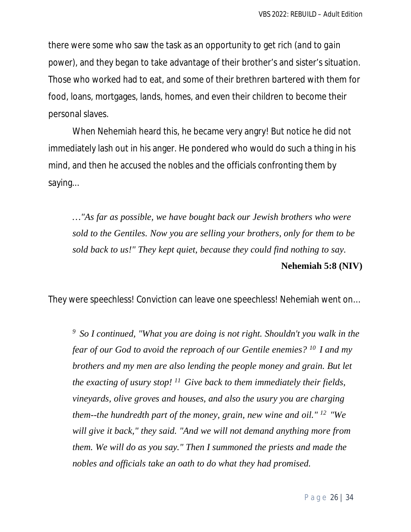there were some who saw the task as an opportunity to get rich *(and to gain power)*, and they began to take advantage of their brother's and sister's situation. Those who worked had to eat, and some of their brethren bartered with them for food, loans, mortgages, lands, homes, and even their children to become their personal slaves.

When Nehemiah heard this, he became very angry! But notice he did not immediately lash out in his anger. He pondered who would do such a thing in his mind, and then he accused the nobles and the officials confronting them by saying...

*…"As far as possible, we have bought back our Jewish brothers who were sold to the Gentiles. Now you are selling your brothers, only for them to be sold back to us!" They kept quiet, because they could find nothing to say.*  **Nehemiah 5:8 (NIV)** 

They were speechless! Conviction can leave one speechless! Nehemiah went on…

*<sup>9</sup>So I continued, "What you are doing is not right. Shouldn't you walk in the fear of our God to avoid the reproach of our Gentile enemies? <sup>10</sup>I and my brothers and my men are also lending the people money and grain. But let the exacting of usury stop! <sup>11</sup>Give back to them immediately their fields, vineyards, olive groves and houses, and also the usury you are charging them--the hundredth part of the money, grain, new wine and oil." <sup>12</sup>"We will give it back," they said. "And we will not demand anything more from them. We will do as you say." Then I summoned the priests and made the nobles and officials take an oath to do what they had promised.*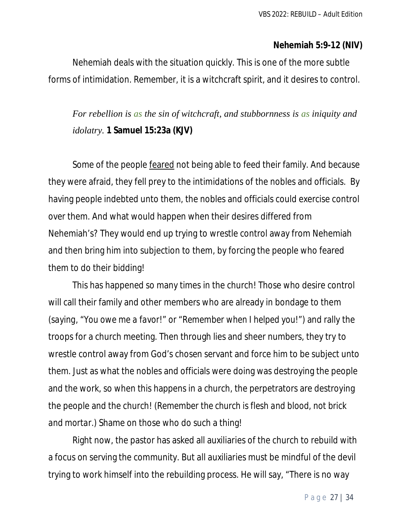### **Nehemiah 5:9-12 (NIV)**

Nehemiah deals with the situation quickly. This is one of the more subtle forms of intimidation. Remember, it is a witchcraft spirit, and it desires to control.

## *For rebellion is as the sin of witchcraft, and stubbornness is as iniquity and idolatry.* **1 Samuel 15:23a (KJV)**

Some of the people feared not being able to feed their family. And because they were afraid, they fell prey to the intimidations of the nobles and officials. By having people indebted unto them, the nobles and officials could exercise control over them. And what would happen when their desires differed from Nehemiah's? They would end up trying to wrestle control away from Nehemiah and then bring him into subjection to them, by forcing the people who feared them to do their bidding!

This has happened so many times in the church! Those who desire control will call their family and other members who are already in bondage to them *(saying, "You owe me a favor!" or "Remember when I helped you!")* and rally the troops for a church meeting. Then through lies and sheer numbers, they try to wrestle control away from God's chosen servant and force him to be subject unto them. Just as what the nobles and officials were doing was destroying the people and the work, so when this happens in a church, the perpetrators are destroying the people and the church! *(Remember the church is flesh and blood, not brick and mortar.)* Shame on those who do such a thing!

Right now, the pastor has asked all auxiliaries of the church to rebuild with a focus on serving the community. But all auxiliaries must be mindful of the devil trying to work himself into the rebuilding process. He will say, "There is no way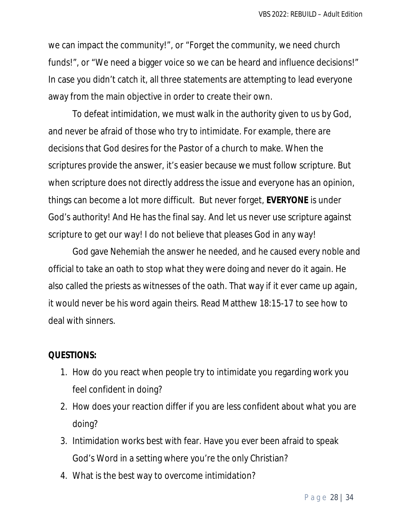we can impact the community!", or "Forget the community, we need church funds!", or "We need a bigger voice so we can be heard and influence decisions!" In case you didn't catch it, all three statements are attempting to lead everyone away from the main objective in order to create their own.

To defeat intimidation, we must walk in the authority given to us by God, and never be afraid of those who try to intimidate. For example, there are decisions that God desires for the Pastor of a church to make. When the scriptures provide the answer, it's easier because we must follow scripture. But when scripture does not directly address the issue and everyone has an opinion, things can become a lot more difficult. But never forget, **EVERYONE** is under God's authority! And He has the final say. And let us never use scripture against scripture to get our way! I do not believe that pleases God in any way!

God gave Nehemiah the answer he needed, and he caused every noble and official to take an oath to stop what they were doing and never do it again. He also called the priests as witnesses of the oath. That way if it ever came up again, it would never be his word again theirs. Read Matthew 18:15-17 to see how to deal with sinners.

#### **QUESTIONS:**

- 1. How do you react when people try to intimidate you regarding work you feel confident in doing?
- 2. How does your reaction differ if you are less confident about what you are doing?
- 3. Intimidation works best with fear. Have you ever been afraid to speak God's Word in a setting where you're the only Christian?
- 4. What is the best way to overcome intimidation?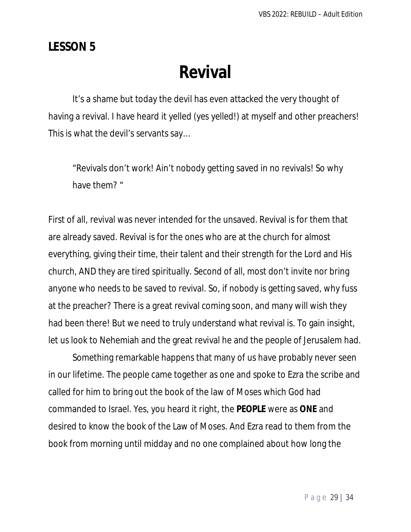## **LESSON 5**

# **Revival**

It's a shame but today the devil has even attacked the very thought of having a revival. I have heard it yelled *(yes yelled!)* at myself and other preachers! This is what the devil's servants say…

"Revivals don't work! Ain't nobody getting saved in no revivals! So why have them? "

First of all, revival was never intended for the unsaved. Revival is for them that are already saved. Revival is for the ones who are at the church for almost everything, giving their time, their talent and their strength for the Lord and His church, AND they are tired spiritually. Second of all, most don't invite nor bring anyone who needs to be saved to revival. So, if nobody is getting saved, why fuss at the preacher? There is a great revival coming soon, and many will wish they had been there! But we need to truly understand what revival is. To gain insight, let us look to Nehemiah and the great revival he and the people of Jerusalem had.

Something remarkable happens that many of us have probably never seen in our lifetime. The people came together as one and spoke to Ezra the scribe and called for him to bring out the book of the law of Moses which God had commanded to Israel. Yes, you heard it right, the **PEOPLE** were as **ONE** and desired to know the book of the Law of Moses. And Ezra read to them from the book from morning until midday and no one complained about how long the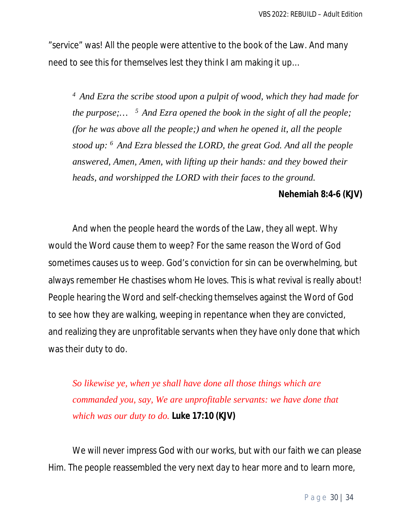"service" was! All the people were attentive to the book of the Law. And many need to see this for themselves lest they think I am making it up…

*<sup>4</sup>And Ezra the scribe stood upon a pulpit of wood, which they had made for the purpose;… <sup>5</sup>And Ezra opened the book in the sight of all the people; (for he was above all the people;) and when he opened it, all the people stood up: <sup>6</sup>And Ezra blessed the LORD, the great God. And all the people answered, Amen, Amen, with lifting up their hands: and they bowed their heads, and worshipped the LORD with their faces to the ground.*

#### **Nehemiah 8:4-6 (KJV)**

And when the people heard the words of the Law, they all wept. Why would the Word cause them to weep? For the same reason the Word of God sometimes causes us to weep. God's conviction for sin can be overwhelming, but always remember He chastises whom He loves. This is what revival is really about! People hearing the Word and self-checking themselves against the Word of God to see how they are walking, weeping in repentance when they are convicted, and realizing they are unprofitable servants when they have only done that which was their duty to do.

*So likewise ye, when ye shall have done all those things which are commanded you, say, We are unprofitable servants: we have done that which was our duty to do.* **Luke 17:10 (KJV)**

We will never impress God with our works, but with our faith we can please Him. The people reassembled the very next day to hear more and to learn more,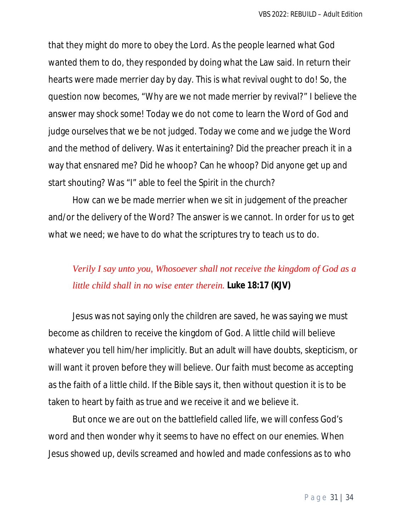that they might do more to obey the Lord. As the people learned what God wanted them to do, they responded by doing what the Law said. In return their hearts were made merrier day by day. This is what revival ought to do! So, the question now becomes, "Why are we not made merrier by revival?" I believe the answer may shock some! Today we do not come to learn the Word of God and judge ourselves that we be not judged. Today we come and we judge the Word and the method of delivery. Was it entertaining? Did the preacher preach it in a way that ensnared me? Did he whoop? Can he whoop? Did anyone get up and start shouting? Was "I" able to feel the Spirit in the church?

How can we be made merrier when we sit in judgement of the preacher and/or the delivery of the Word? The answer is we cannot. In order for us to get what we need; we have to do what the scriptures try to teach us to do.

## *Verily I say unto you, Whosoever shall not receive the kingdom of God as a little child shall in no wise enter therein.* **Luke 18:17 (KJV)**

Jesus was not saying only the children are saved, he was saying we must become as children to receive the kingdom of God. A little child will believe whatever you tell him/her implicitly. But an adult will have doubts, skepticism, or will want it proven before they will believe. Our faith must become as accepting as the faith of a little child. If the Bible says it, then without question it is to be taken to heart by faith as true and we receive it and we believe it.

But once we are out on the battlefield called life, we will confess God's word and then wonder why it seems to have no effect on our enemies. When Jesus showed up, devils screamed and howled and made confessions as to who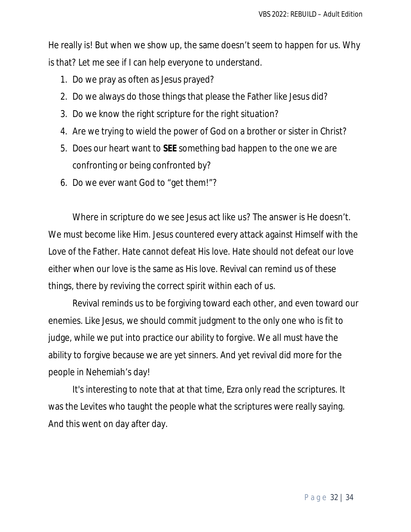He really is! But when we show up, the same doesn't seem to happen for us. Why is that? Let me see if I can help everyone to understand.

- 1. Do we pray as often as Jesus prayed?
- 2. Do we always do those things that please the Father like Jesus did?
- 3. Do we know the right scripture for the right situation?
- 4. Are we trying to wield the power of God on a brother or sister in Christ?
- 5. Does our heart want to **SEE** something bad happen to the one we are confronting or being confronted by?
- 6. Do we ever want God to "get them!"?

Where in scripture do we see Jesus act like us? The answer is He doesn't. We must become like Him. Jesus countered every attack against Himself with the Love of the Father. Hate cannot defeat His love. Hate should not defeat our love either when our love is the same as His love. Revival can remind us of these things, there by reviving the correct spirit within each of us.

Revival reminds us to be forgiving toward each other, and even toward our enemies. Like Jesus, we should commit judgment to the only one who is fit to judge, while we put into practice our ability to forgive. We all must have the ability to forgive because we are yet sinners. And yet revival did more for the people in Nehemiah's day!

It's interesting to note that at that time, Ezra only read the scriptures. It was the Levites who taught the people what the scriptures were really saying. And this went on day after day.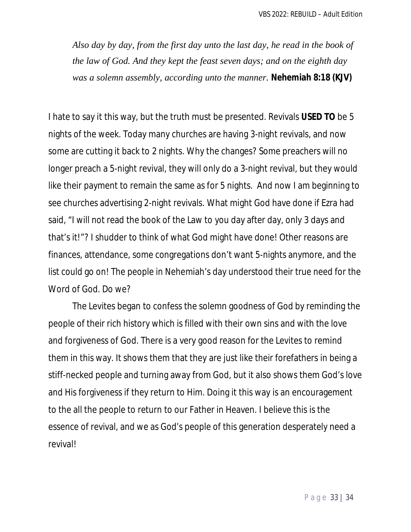*Also day by day, from the first day unto the last day, he read in the book of the law of God. And they kept the feast seven days; and on the eighth day was a solemn assembly, according unto the manner.* **Nehemiah 8:18 (KJV)**

I hate to say it this way, but the truth must be presented. Revivals **USED TO** be 5 nights of the week. Today many churches are having 3-night revivals, and now some are cutting it back to 2 nights. Why the changes? Some preachers will no longer preach a 5-night revival, they will only do a 3-night revival, but they would like their payment to remain the same as for 5 nights. And now I am beginning to see churches advertising 2-night revivals. What might God have done if Ezra had said, "I will not read the book of the Law to you day after day, only 3 days and that's it!"? I shudder to think of what God might have done! Other reasons are finances, attendance, some congregations don't want 5-nights anymore, and the list could go on! The people in Nehemiah's day understood their true need for the Word of God. Do we?

The Levites began to confess the solemn goodness of God by reminding the people of their rich history which is filled with their own sins and with the love and forgiveness of God. There is a very good reason for the Levites to remind them in this way. It shows them that they are just like their forefathers in being a stiff-necked people and turning away from God, but it also shows them God's love and His forgiveness if they return to Him. Doing it this way is an encouragement to the all the people to return to our Father in Heaven. I believe this is the essence of revival, and we as God's people of this generation desperately need a revival!